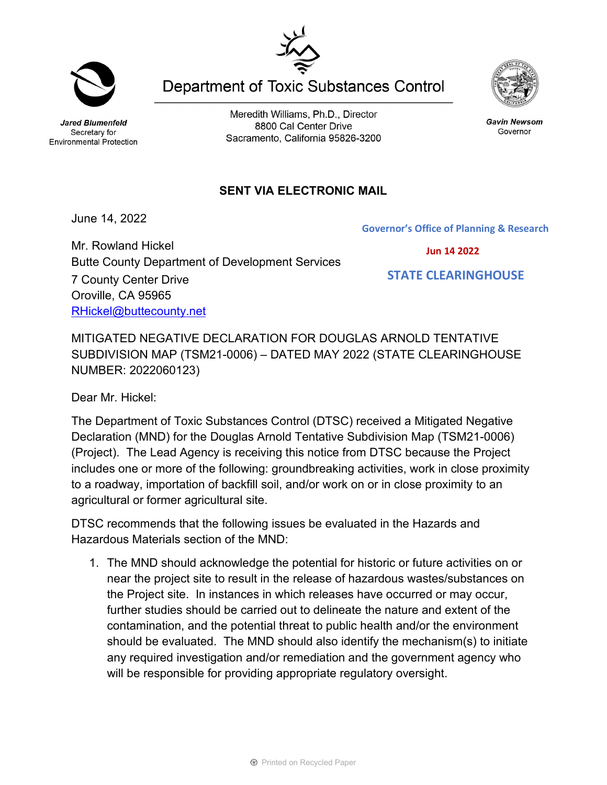Jared Blumenfeld Secretary for Environmental Protection

Meredith Williams, Ph.D., Director 8800 Cal Center Drive Sacramento, California 95826-3200

**Department of Toxic Substances Control** 

## **SENT VIA ELECTRONIC MAIL**

June 14, 2022

Mr. Rowland Hickel Butte County Department of Development Services 7 County Center Drive Oroville, CA 95965 [RHickel@buttecounty.net](mailto:RHickel@buttecounty.net)

MITIGATED NEGATIVE DECLARATION FOR DOUGLAS ARNOLD TENTATIVE SUBDIVISION MAP (TSM21-0006) – DATED MAY 2022 (STATE CLEARINGHOUSE NUMBER: 2022060123)

Dear Mr. Hickel:

The Department of Toxic Substances Control (DTSC) received a Mitigated Negative Declaration (MND) for the Douglas Arnold Tentative Subdivision Map (TSM21-0006) (Project). The Lead Agency is receiving this notice from DTSC because the Project includes one or more of the following: groundbreaking activities, work in close proximity to a roadway, importation of backfill soil, and/or work on or in close proximity to an agricultural or former agricultural site.

DTSC recommends that the following issues be evaluated in the Hazards and Hazardous Materials section of the MND:

1. The MND should acknowledge the potential for historic or future activities on or near the project site to result in the release of hazardous wastes/substances on the Project site. In instances in which releases have occurred or may occur, further studies should be carried out to delineate the nature and extent of the contamination, and the potential threat to public health and/or the environment should be evaluated. The MND should also identify the mechanism(s) to initiate any required investigation and/or remediation and the government agency who will be responsible for providing appropriate regulatory oversight.





Gavin Newsom

Governor

 **Jun 14 2022**

**Governor's Office of Planning & Research**

 **STATE CLEARINGHOUSE**

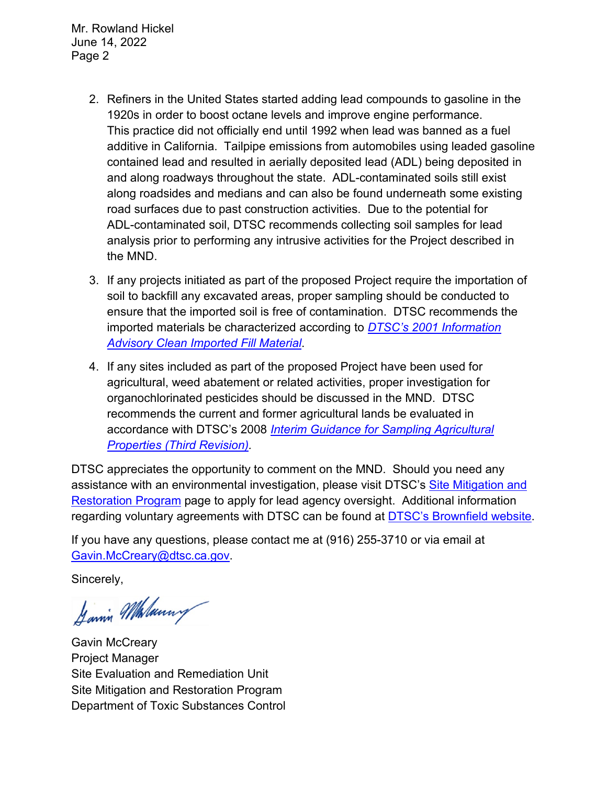Mr. Rowland Hickel June 14, 2022 Page 2

- 2. Refiners in the United States started adding lead compounds to gasoline in the 1920s in order to boost octane levels and improve engine performance. This practice did not officially end until 1992 when lead was banned as a fuel additive in California. Tailpipe emissions from automobiles using leaded gasoline contained lead and resulted in aerially deposited lead (ADL) being deposited in and along roadways throughout the state. ADL-contaminated soils still exist along roadsides and medians and can also be found underneath some existing road surfaces due to past construction activities. Due to the potential for ADL-contaminated soil, DTSC recommends collecting soil samples for lead analysis prior to performing any intrusive activities for the Project described in the MND.
- 3. If any projects initiated as part of the proposed Project require the importation of soil to backfill any excavated areas, proper sampling should be conducted to ensure that the imported soil is free of contamination. DTSC recommends the imported materials be characterized according to *[DTSC's 2001 Information](https://dtsc.ca.gov/wp-content/uploads/sites/31/2018/09/SMP_FS_Cleanfill-Schools.pdf)  [Advisory Clean Imported Fill Material](https://dtsc.ca.gov/wp-content/uploads/sites/31/2018/09/SMP_FS_Cleanfill-Schools.pdf)*.
- 4. If any sites included as part of the proposed Project have been used for agricultural, weed abatement or related activities, proper investigation for organochlorinated pesticides should be discussed in the MND. DTSC recommends the current and former agricultural lands be evaluated in accordance with DTSC's 2008 *[Interim Guidance for Sampling Agricultural](https://dtsc.ca.gov/wp-content/uploads/sites/31/2018/09/Ag-Guidance-Rev-3-August-7-2008-2.pdf)  [Properties \(Third Revision\).](https://dtsc.ca.gov/wp-content/uploads/sites/31/2018/09/Ag-Guidance-Rev-3-August-7-2008-2.pdf)*

DTSC appreciates the opportunity to comment on the MND. Should you need any assistance with an environmental investigation, please visit DTSC's [Site Mitigation and](https://dtsc.ca.gov/brownfields/voluntary-agreements-quick-reference-guide/) [Restoration Program](https://dtsc.ca.gov/brownfields/voluntary-agreements-quick-reference-guide/) page to apply for lead agency oversight. Additional information regarding voluntary agreements with DTSC can be found at **DTSC's Brownfield website**.

If you have any questions, please contact me at (916) 255-3710 or via email at [Gavin.McCreary@dtsc.ca.gov.](mailto:Gavin.McCreary@dtsc.ca.gov)

Sincerely,

Jannin Malanny

Gavin McCreary Project Manager Site Evaluation and Remediation Unit Site Mitigation and Restoration Program Department of Toxic Substances Control